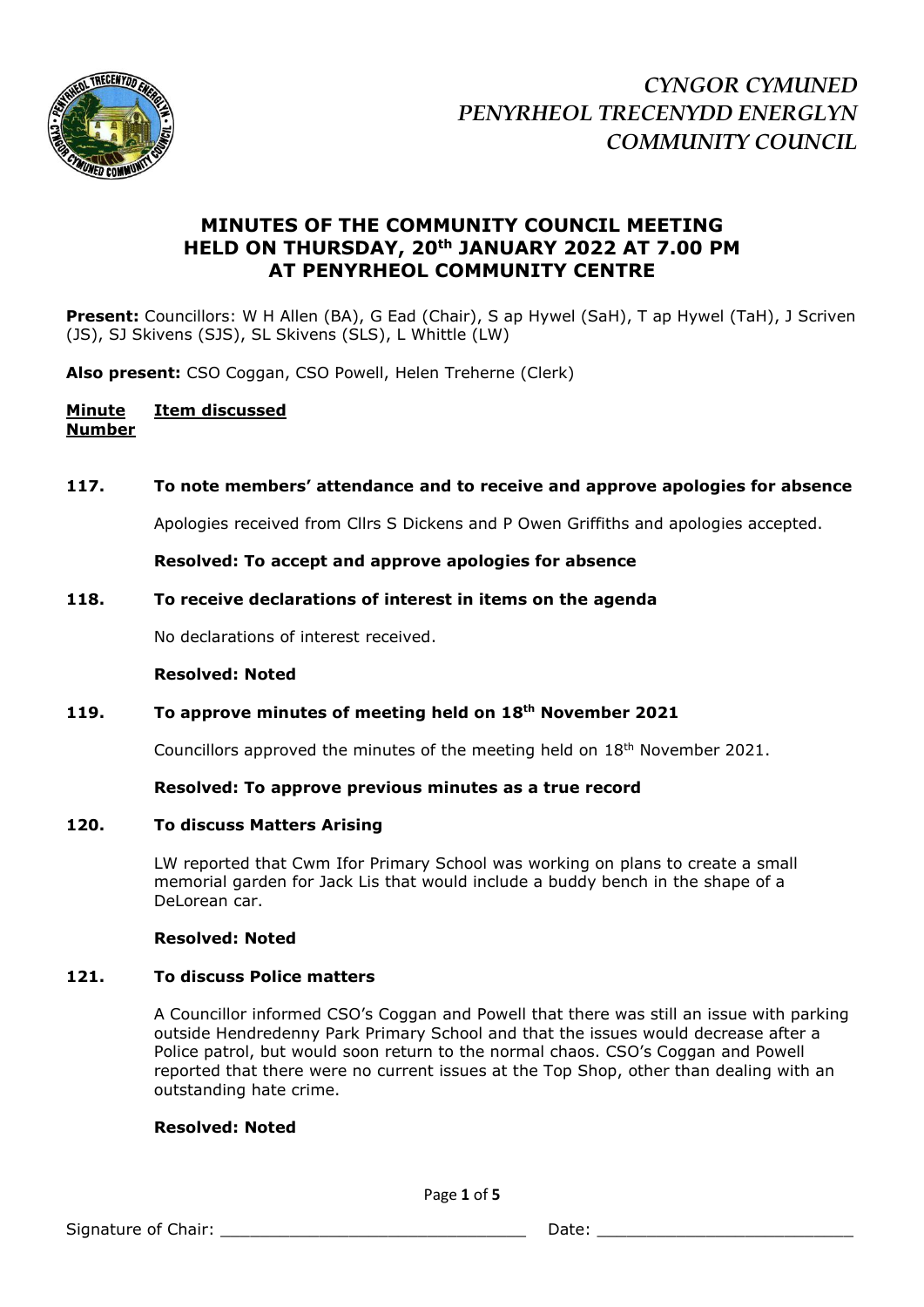

# **MINUTES OF THE COMMUNITY COUNCIL MEETING HELD ON THURSDAY, 20th JANUARY 2022 AT 7.00 PM AT PENYRHEOL COMMUNITY CENTRE**

Present: Councillors: W H Allen (BA), G Ead (Chair), S ap Hywel (SaH), T ap Hywel (TaH), J Scriven (JS), SJ Skivens (SJS), SL Skivens (SLS), L Whittle (LW)

**Also present:** CSO Coggan, CSO Powell, Helen Treherne (Clerk)

# **Minute Item discussed Number**

# **117. To note members' attendance and to receive and approve apologies for absence**

Apologies received from Cllrs S Dickens and P Owen Griffiths and apologies accepted.

**Resolved: To accept and approve apologies for absence**

#### **118. To receive declarations of interest in items on the agenda**

No declarations of interest received.

#### **Resolved: Noted**

# **119. To approve minutes of meeting held on 18th November 2021**

Councillors approved the minutes of the meeting held on  $18<sup>th</sup>$  November 2021.

#### **Resolved: To approve previous minutes as a true record**

#### **120. To discuss Matters Arising**

LW reported that Cwm Ifor Primary School was working on plans to create a small memorial garden for Jack Lis that would include a buddy bench in the shape of a DeLorean car.

#### **Resolved: Noted**

#### **121. To discuss Police matters**

A Councillor informed CSO's Coggan and Powell that there was still an issue with parking outside Hendredenny Park Primary School and that the issues would decrease after a Police patrol, but would soon return to the normal chaos. CSO's Coggan and Powell reported that there were no current issues at the Top Shop, other than dealing with an outstanding hate crime.

#### **Resolved: Noted**

Page **1** of **5**

Signature of Chair: \_\_\_\_\_\_\_\_\_\_\_\_\_\_\_\_\_\_\_\_\_\_\_\_\_\_\_\_\_\_\_ Date: \_\_\_\_\_\_\_\_\_\_\_\_\_\_\_\_\_\_\_\_\_\_\_\_\_\_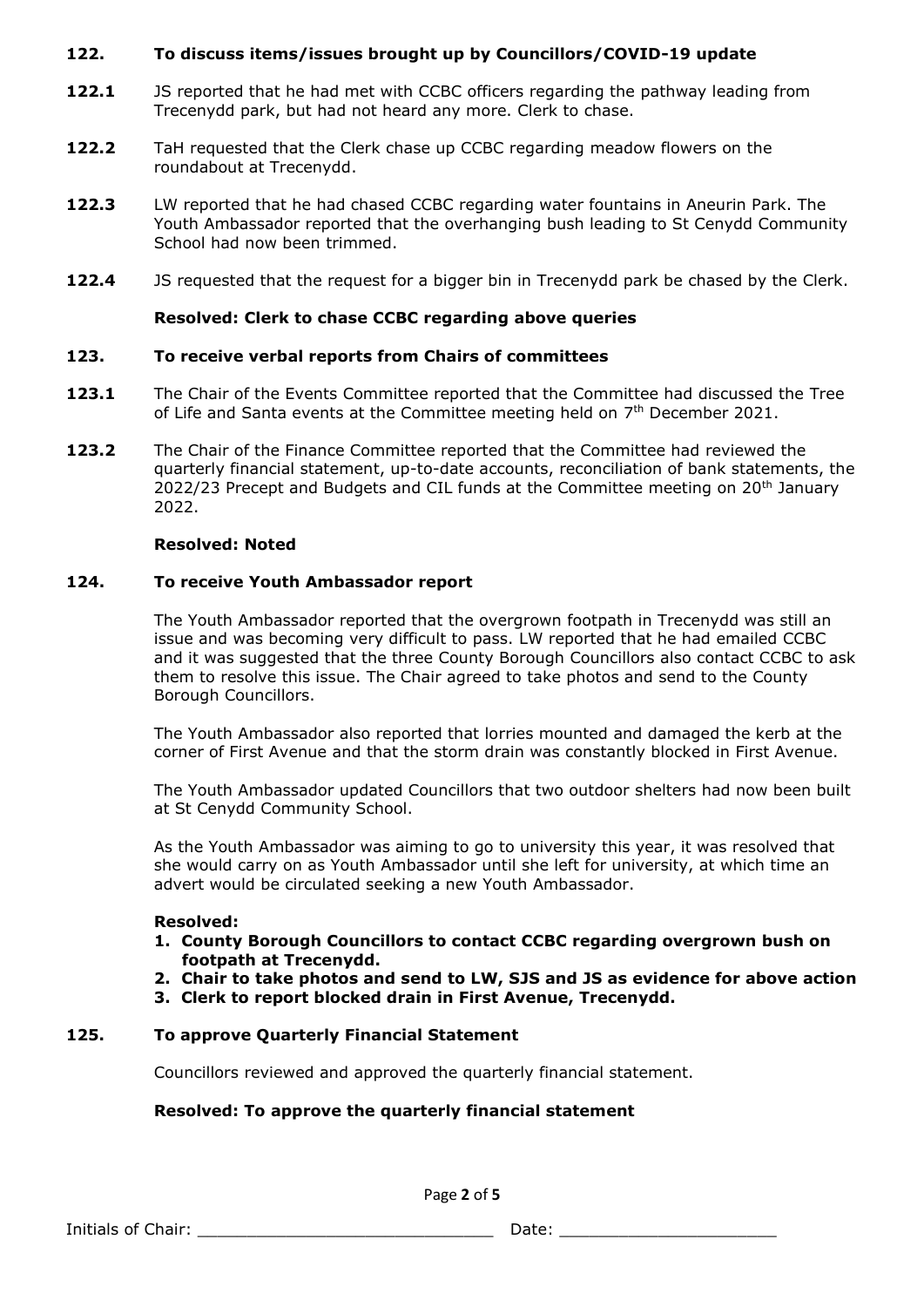# **122. To discuss items/issues brought up by Councillors/COVID-19 update**

- **122.1** JS reported that he had met with CCBC officers regarding the pathway leading from Trecenydd park, but had not heard any more. Clerk to chase.
- **122.2** TaH requested that the Clerk chase up CCBC regarding meadow flowers on the roundabout at Trecenydd.
- **122.3** LW reported that he had chased CCBC regarding water fountains in Aneurin Park. The Youth Ambassador reported that the overhanging bush leading to St Cenydd Community School had now been trimmed.
- **122.4** JS requested that the request for a bigger bin in Trecenydd park be chased by the Clerk.

# **Resolved: Clerk to chase CCBC regarding above queries**

### **123. To receive verbal reports from Chairs of committees**

- **123.1** The Chair of the Events Committee reported that the Committee had discussed the Tree of Life and Santa events at the Committee meeting held on  $7<sup>th</sup>$  December 2021.
- **123.2** The Chair of the Finance Committee reported that the Committee had reviewed the quarterly financial statement, up-to-date accounts, reconciliation of bank statements, the 2022/23 Precept and Budgets and CIL funds at the Committee meeting on  $20<sup>th</sup>$  January 2022.

#### **Resolved: Noted**

### **124. To receive Youth Ambassador report**

The Youth Ambassador reported that the overgrown footpath in Trecenydd was still an issue and was becoming very difficult to pass. LW reported that he had emailed CCBC and it was suggested that the three County Borough Councillors also contact CCBC to ask them to resolve this issue. The Chair agreed to take photos and send to the County Borough Councillors.

The Youth Ambassador also reported that lorries mounted and damaged the kerb at the corner of First Avenue and that the storm drain was constantly blocked in First Avenue.

The Youth Ambassador updated Councillors that two outdoor shelters had now been built at St Cenydd Community School.

As the Youth Ambassador was aiming to go to university this year, it was resolved that she would carry on as Youth Ambassador until she left for university, at which time an advert would be circulated seeking a new Youth Ambassador.

#### **Resolved:**

- **1. County Borough Councillors to contact CCBC regarding overgrown bush on footpath at Trecenydd.**
- **2. Chair to take photos and send to LW, SJS and JS as evidence for above action**
- **3. Clerk to report blocked drain in First Avenue, Trecenydd.**

# **125. To approve Quarterly Financial Statement**

Councillors reviewed and approved the quarterly financial statement.

# **Resolved: To approve the quarterly financial statement**

Page **2** of **5**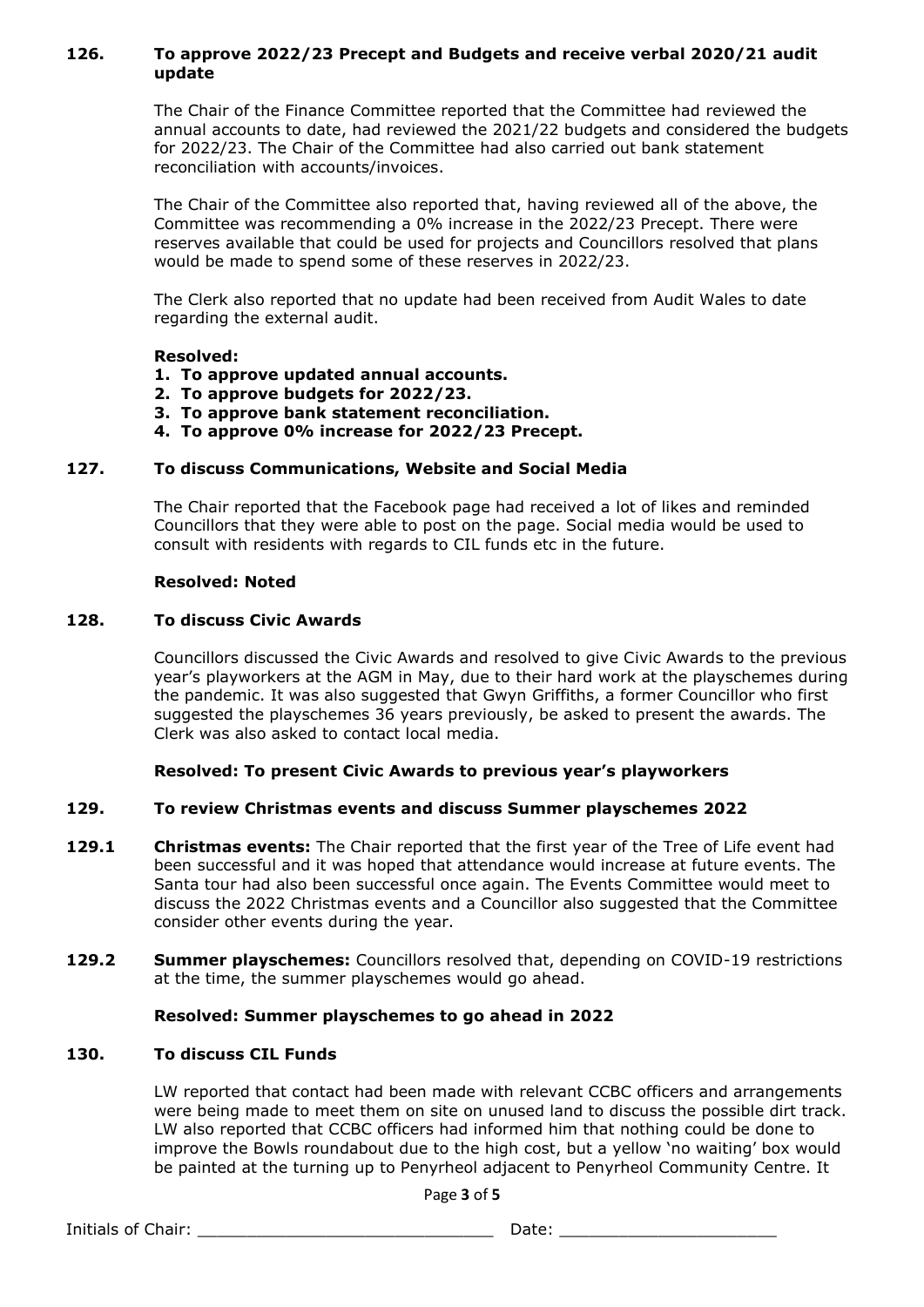# **126. To approve 2022/23 Precept and Budgets and receive verbal 2020/21 audit update**

The Chair of the Finance Committee reported that the Committee had reviewed the annual accounts to date, had reviewed the 2021/22 budgets and considered the budgets for 2022/23. The Chair of the Committee had also carried out bank statement reconciliation with accounts/invoices.

The Chair of the Committee also reported that, having reviewed all of the above, the Committee was recommending a 0% increase in the 2022/23 Precept. There were reserves available that could be used for projects and Councillors resolved that plans would be made to spend some of these reserves in 2022/23.

The Clerk also reported that no update had been received from Audit Wales to date regarding the external audit.

### **Resolved:**

### **1. To approve updated annual accounts.**

- **2. To approve budgets for 2022/23.**
- **3. To approve bank statement reconciliation.**
- **4. To approve 0% increase for 2022/23 Precept.**

### **127. To discuss Communications, Website and Social Media**

The Chair reported that the Facebook page had received a lot of likes and reminded Councillors that they were able to post on the page. Social media would be used to consult with residents with regards to CIL funds etc in the future.

#### **Resolved: Noted**

#### **128. To discuss Civic Awards**

Councillors discussed the Civic Awards and resolved to give Civic Awards to the previous year's playworkers at the AGM in May, due to their hard work at the playschemes during the pandemic. It was also suggested that Gwyn Griffiths, a former Councillor who first suggested the playschemes 36 years previously, be asked to present the awards. The Clerk was also asked to contact local media.

# **Resolved: To present Civic Awards to previous year's playworkers**

# **129. To review Christmas events and discuss Summer playschemes 2022**

- **129.1 Christmas events:** The Chair reported that the first year of the Tree of Life event had been successful and it was hoped that attendance would increase at future events. The Santa tour had also been successful once again. The Events Committee would meet to discuss the 2022 Christmas events and a Councillor also suggested that the Committee consider other events during the year.
- **129.2 Summer playschemes:** Councillors resolved that, depending on COVID-19 restrictions at the time, the summer playschemes would go ahead.

#### **Resolved: Summer playschemes to go ahead in 2022**

#### **130. To discuss CIL Funds**

LW reported that contact had been made with relevant CCBC officers and arrangements were being made to meet them on site on unused land to discuss the possible dirt track. LW also reported that CCBC officers had informed him that nothing could be done to improve the Bowls roundabout due to the high cost, but a yellow 'no waiting' box would be painted at the turning up to Penyrheol adjacent to Penyrheol Community Centre. It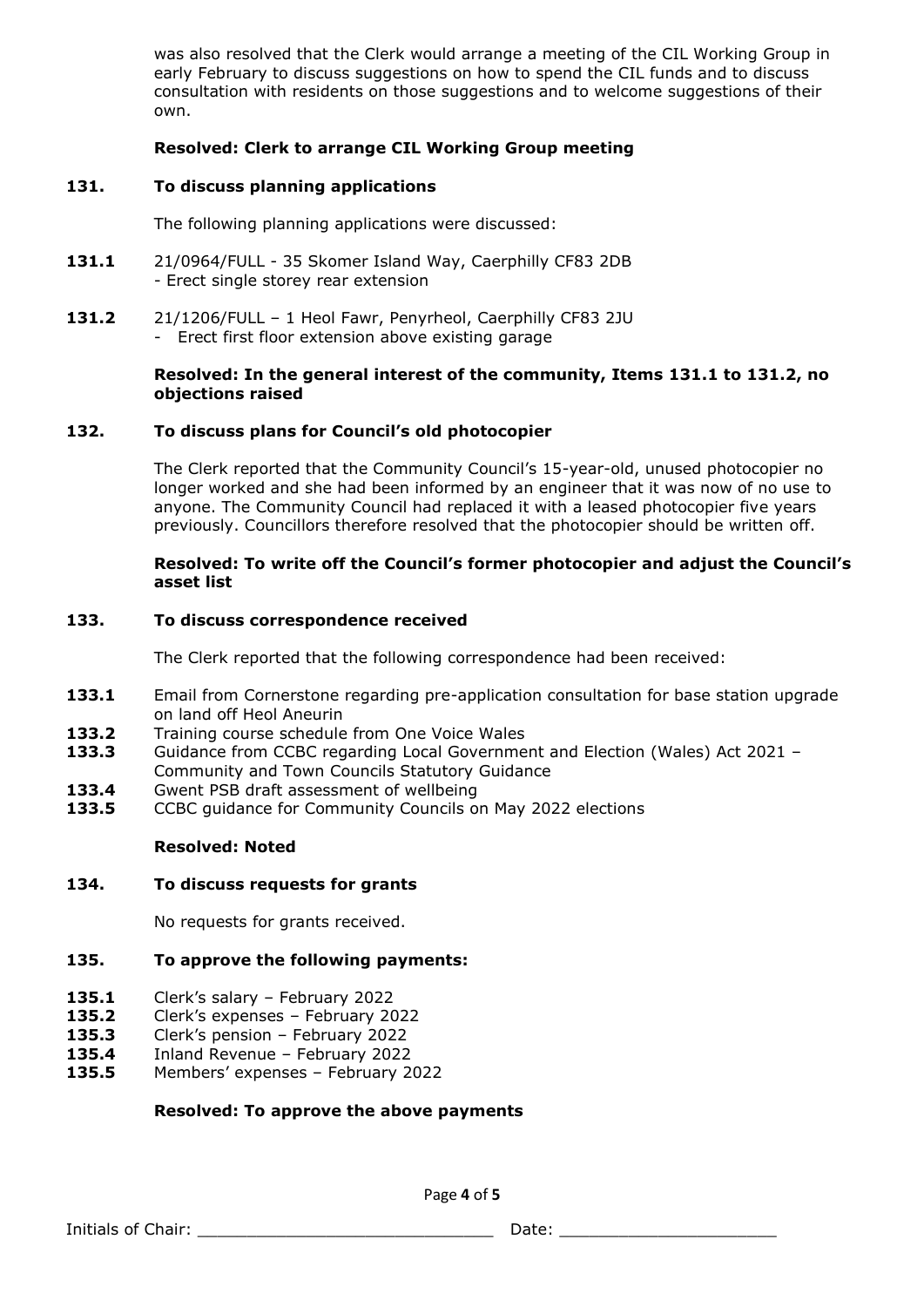was also resolved that the Clerk would arrange a meeting of the CIL Working Group in early February to discuss suggestions on how to spend the CIL funds and to discuss consultation with residents on those suggestions and to welcome suggestions of their own.

# **Resolved: Clerk to arrange CIL Working Group meeting**

### **131. To discuss planning applications**

The following planning applications were discussed:

- **131.1** 21/0964/FULL 35 Skomer Island Way, Caerphilly CF83 2DB - Erect single storey rear extension
- **131.2** 21/1206/FULL 1 Heol Fawr, Penyrheol, Caerphilly CF83 2JU - Erect first floor extension above existing garage

#### **Resolved: In the general interest of the community, Items 131.1 to 131.2, no objections raised**

### **132. To discuss plans for Council's old photocopier**

The Clerk reported that the Community Council's 15-year-old, unused photocopier no longer worked and she had been informed by an engineer that it was now of no use to anyone. The Community Council had replaced it with a leased photocopier five years previously. Councillors therefore resolved that the photocopier should be written off.

#### **Resolved: To write off the Council's former photocopier and adjust the Council's asset list**

#### **133. To discuss correspondence received**

The Clerk reported that the following correspondence had been received:

- **133.1** Email from Cornerstone regarding pre-application consultation for base station upgrade on land off Heol Aneurin
- 133.2 Training course schedule from One Voice Wales
- **133.3** Guidance from CCBC regarding Local Government and Election (Wales) Act 2021 Community and Town Councils Statutory Guidance
- **133.4** Gwent PSB draft assessment of wellbeing
- **133.5** CCBC guidance for Community Councils on May 2022 elections

#### **Resolved: Noted**

#### **134. To discuss requests for grants**

No requests for grants received.

#### **135. To approve the following payments:**

- **135.1** Clerk's salary February 2022
- **135.2** Clerk's expenses February 2022
- **135.3** Clerk's pension February 2022
- **135.4** Inland Revenue February 2022
- **135.5** Members' expenses February 2022

#### **Resolved: To approve the above payments**

Page **4** of **5**